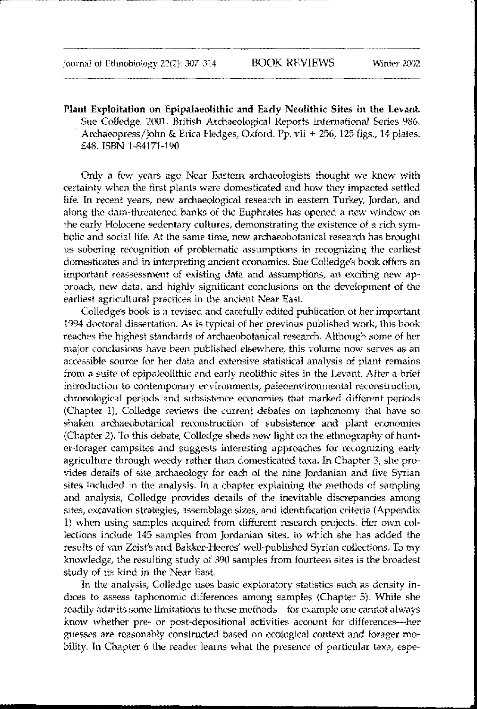Plant Exploitation on Epipalaeolithic and Early Neolithic Sites in the Levant. Sue Colledge. 2001. British Archaeological Reports International Series 986. Archaeopress/John & Erica Hedges, Oxford. Pp. vii + 256, 125 figs., 14 plates. £48. ISBN 1-84171-190

------\_.. \_\_... \_-----\_.\_\_.---

Only a few years ago Near Eastern archaeologists thought we knew wilh certainty when the first plants were domesticated and how they impacted settled life. In recent years, new archaeological research in eastern Turkey, Jordan, and along the dam-threatened banks of the Euphrates has opened a new window on the early Holocene sedentary cultures, demonstrating the existence of a rich symbolic and social life. At the same time, new archaeobotanical research has brought us sobering recognition of problematic assumptions in recognizing the earliest domesticates and in interpreting ancient economies. Sue Colledge's book offers an important reassessment of existing data and assumptions, an exciting new approach, new data, and highly significant conclusions on the development of the earliest agricultural practices in the ancient Near East.

Colledge's book is a revised and carefully edited publication of her important 1994 doctoral dissertation. As is typical of her previous published work, this book reaches the highest standards of archaeobotanical research. Although some of her major conclusions have been published elsewhere, this volume now serves as an accessible source for her data and extensive statistical analysis of plant remains from a suite of epipaleolithic and early neolithic sites in the Levant. After a brief introduction to contemporary environments, paleoenvironmental reconstruction, chronological periods and subsistence economies that marked different periods (Chapter 1), Colledge reviews the current debates on taphonomy that have so shaken archaeobotanical reconstruction of subsistence and plant economies (Chapter 2). To this debate, Colledge sheds new light on the ethnography of hunter-forager campsites and suggests interesting approaches for recognizing early agriculture through weedy rather than domesticated taxa. In Chapter 3, she provides details of site archaeology for each of the nine Jordanian and five Syrian sites included in the analysis. In a chapter explaining the methods of sampling and analysis, Colledge provides details of the inevitable discrepancies among sites, excavation strategies, assemblage sizes, and identification criteria (Appendix 1) when using samples acquired from different research projects. Her own collections include 145 samples from Jordanian sites, to which she has added the results of van Zeist's and Bakker-Heeres' well-published Syrian collections. To my knowledge, the resulting study of 390 samples from fourteen sites is the broadest study of its kind in the Near East.

In the analysis, Colledge uses basic exploratory statistics such as density indices to assess taphonomic differences among samples (Chapter 5). While she readily admits some limitations to these methods-for example one cannot always know whether pre- or post-depositional activities account for differences-her guesses are reasonably constructed based on ecological context and forager mobility. In Chapter 6 the reader learns what the presence of particular taxa, espe-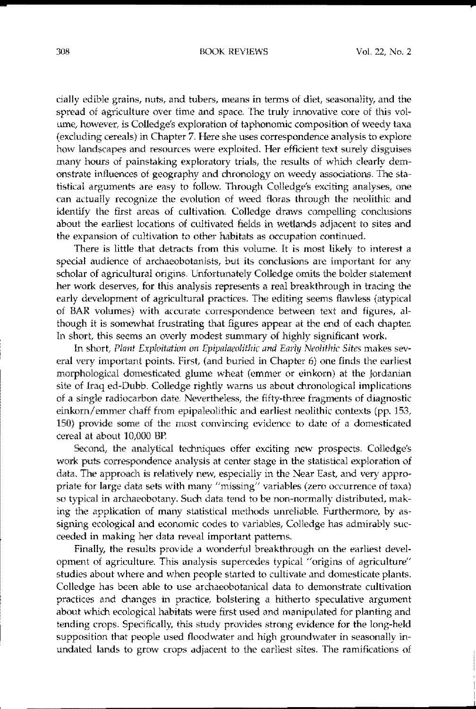## 308 BOOK REVIEWS VoL 22, No.2

cially edible grains, nuts, and tubers, means in terms of diet, seasonality, and the spread of agriculture over time and space. The truly innovative core of this volume, however, is Colledge's exploration of taphonomic composition of weedy taxa (excluding cereals) in Chapter 7. Here she uses correspondence analysis to explore how landscapes and resources were exploited. Her efficient text surely disguises many hours of painstaking exploratory trials, the results of which clearly demonstrate influences of geography and chronology on weedy associations. The statistical arguments are easy to follow. Through Colledge's exciting analyses, one can actually recognize the evolution of weed floras through the neolithic and identify the first areas of cultivation. Colledge draws compelling conclusions about the earliest locations of cultivated fields in wetlands adjacent to sites and the expansion of cultivation to other habitats as occupation continued.

There is little that detracts from this volume. It is most likely to interest a special audience of archaeobotanists, but its conclusions are important for any scholar of agricullural origins. Unfortunately Colledge omits the bolder statement her work deserves, for this analysis represents a real breakthrough in tracing the early development of agricultural practices. The editing seems flawless (atypical of BAR volumes) with accurate correspondence between text and figures, although it is somewhat frustrating that figures appear at the end of each chapter. In short, this seems an overly modest summary of highly significant work.

fn short, *Plant Exploitation on Epipalaeolithic and Early Neolithic Sites* makes several very important points. First, (and buried in Chapter 6) one finds the earliest morphological domesticated glume wheat (emmer or einkom) at the Jordanian site of Iraq ed-Dubb. Colledge rightly warns us about chronological implications of a single radiocarbon date. Nevertheless, the fifty-three fragments of diagnostic einkorn/emmer chaff from epipaleolithic and earliest neolithic contexts (pp. 153, 150) provide some of the most convincing evidence to date of a domesticated cereal at about 10,000 BP.

Second, the analytical techniques offer exciting new prospects. Colledge's work puts correspondence analysis at center stage in the statistical exploration of data. The approach is relatively new, especially in the Near East, and very appropriate for large data sets with many "missing" variables (zero occurrence of taxa) so typical in archaeobotany. Such data tend to be non-normally distributed, making the application of many statistical methods unreliable. Furthermore, by assigning ecological and economic codes to variables, Colledge has admirably succeeded in making her data reveal important patterns.

Finally, the results provide a wonderful breakthrough on the earliest development of agriculture. This analysis supercedes typical "origins of agricullure" studies about where and when people started to cultivate and domesticate plants. Colledge has been able to use archaeobotanical data to demonstrate cultivation practices and changes in practice, bolstering a hitherto speculative argument about which ecological habitats were first used and manipulated for planting and tending crops. Specifically, this study provides strong evidence for the long-held supposition that people used floodwater and high groundwater in seasonally inundated lands to grow crops adjacent to the earliest sites. The ramifications of

**=**